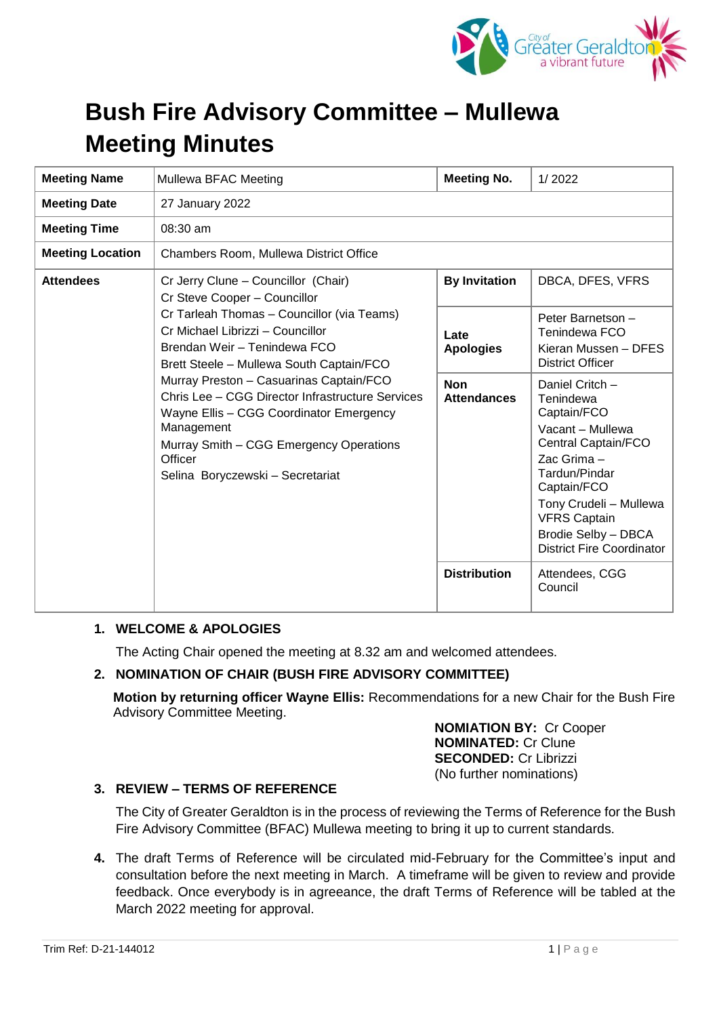

# **Bush Fire Advisory Committee – Mullewa Meeting Minutes**

| <b>Meeting Name</b>     | Mullewa BFAC Meeting                                                                                                                                                                                                                                                                                                                                                                                                                                                                | <b>Meeting No.</b>               | 1/2022                                                                                                                                                                                                                                            |
|-------------------------|-------------------------------------------------------------------------------------------------------------------------------------------------------------------------------------------------------------------------------------------------------------------------------------------------------------------------------------------------------------------------------------------------------------------------------------------------------------------------------------|----------------------------------|---------------------------------------------------------------------------------------------------------------------------------------------------------------------------------------------------------------------------------------------------|
| <b>Meeting Date</b>     | 27 January 2022                                                                                                                                                                                                                                                                                                                                                                                                                                                                     |                                  |                                                                                                                                                                                                                                                   |
| <b>Meeting Time</b>     | $08:30$ am                                                                                                                                                                                                                                                                                                                                                                                                                                                                          |                                  |                                                                                                                                                                                                                                                   |
| <b>Meeting Location</b> | Chambers Room, Mullewa District Office                                                                                                                                                                                                                                                                                                                                                                                                                                              |                                  |                                                                                                                                                                                                                                                   |
| <b>Attendees</b>        | Cr Jerry Clune - Councillor (Chair)<br>Cr Steve Cooper - Councillor<br>Cr Tarleah Thomas - Councillor (via Teams)<br>Cr Michael Librizzi - Councillor<br>Brendan Weir - Tenindewa FCO<br>Brett Steele - Mullewa South Captain/FCO<br>Murray Preston - Casuarinas Captain/FCO<br>Chris Lee - CGG Director Infrastructure Services<br>Wayne Ellis - CGG Coordinator Emergency<br>Management<br>Murray Smith - CGG Emergency Operations<br>Officer<br>Selina Boryczewski - Secretariat | <b>By Invitation</b>             | DBCA, DFES, VFRS                                                                                                                                                                                                                                  |
|                         |                                                                                                                                                                                                                                                                                                                                                                                                                                                                                     | Late<br><b>Apologies</b>         | Peter Barnetson -<br>Tenindewa FCO<br>Kieran Mussen - DFES<br><b>District Officer</b>                                                                                                                                                             |
|                         |                                                                                                                                                                                                                                                                                                                                                                                                                                                                                     | <b>Non</b><br><b>Attendances</b> | Daniel Critch -<br>Tenindewa<br>Captain/FCO<br>Vacant - Mullewa<br>Central Captain/FCO<br>Zac Grima -<br>Tardun/Pindar<br>Captain/FCO<br>Tony Crudeli - Mullewa<br><b>VFRS Captain</b><br>Brodie Selby - DBCA<br><b>District Fire Coordinator</b> |
|                         |                                                                                                                                                                                                                                                                                                                                                                                                                                                                                     | <b>Distribution</b>              | Attendees, CGG<br>Council                                                                                                                                                                                                                         |

# **1. WELCOME & APOLOGIES**

The Acting Chair opened the meeting at 8.32 am and welcomed attendees.

#### **2. NOMINATION OF CHAIR (BUSH FIRE ADVISORY COMMITTEE)**

**Motion by returning officer Wayne Ellis:** Recommendations for a new Chair for the Bush Fire Advisory Committee Meeting.

> **NOMIATION BY:** Cr Cooper **NOMINATED:** Cr Clune **SECONDED:** Cr Librizzi (No further nominations)

#### **3. REVIEW – TERMS OF REFERENCE**

The City of Greater Geraldton is in the process of reviewing the Terms of Reference for the Bush Fire Advisory Committee (BFAC) Mullewa meeting to bring it up to current standards.

**4.** The draft Terms of Reference will be circulated mid-February for the Committee's input and consultation before the next meeting in March. A timeframe will be given to review and provide feedback. Once everybody is in agreeance, the draft Terms of Reference will be tabled at the March 2022 meeting for approval.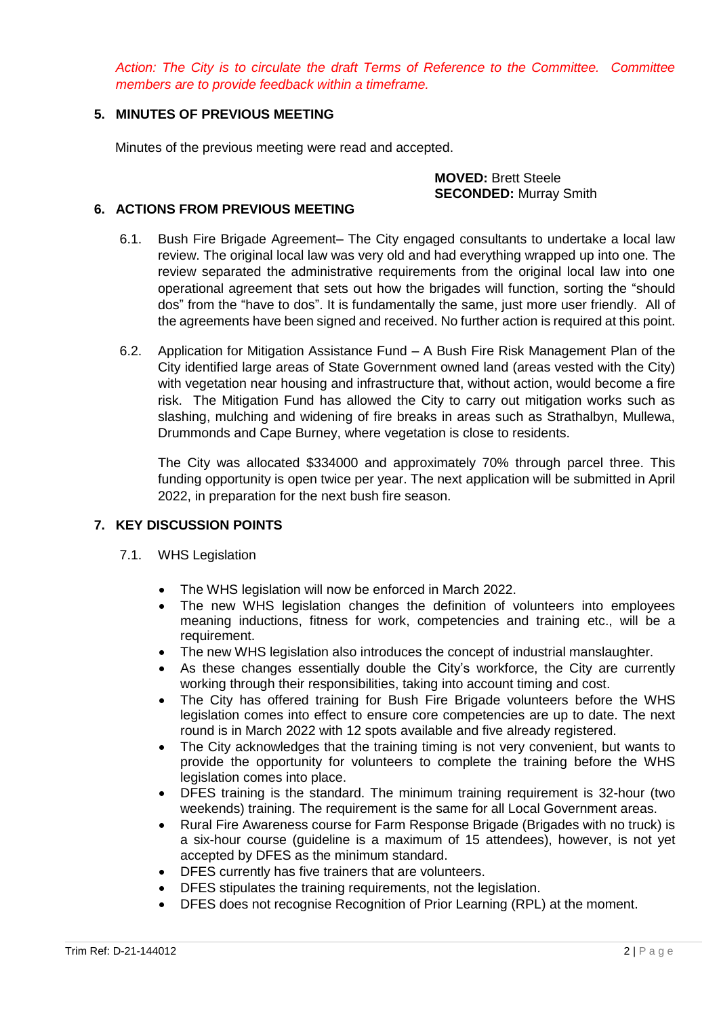*Action: The City is to circulate the draft Terms of Reference to the Committee. Committee members are to provide feedback within a timeframe.*

## **5. MINUTES OF PREVIOUS MEETING**

Minutes of the previous meeting were read and accepted.

#### **MOVED:** Brett Steele **SECONDED:** Murray Smith

#### **6. ACTIONS FROM PREVIOUS MEETING**

- 6.1. Bush Fire Brigade Agreement– The City engaged consultants to undertake a local law review. The original local law was very old and had everything wrapped up into one. The review separated the administrative requirements from the original local law into one operational agreement that sets out how the brigades will function, sorting the "should dos" from the "have to dos". It is fundamentally the same, just more user friendly. All of the agreements have been signed and received. No further action is required at this point.
- 6.2. Application for Mitigation Assistance Fund A Bush Fire Risk Management Plan of the City identified large areas of State Government owned land (areas vested with the City) with vegetation near housing and infrastructure that, without action, would become a fire risk. The Mitigation Fund has allowed the City to carry out mitigation works such as slashing, mulching and widening of fire breaks in areas such as Strathalbyn, Mullewa, Drummonds and Cape Burney, where vegetation is close to residents.

The City was allocated \$334000 and approximately 70% through parcel three. This funding opportunity is open twice per year. The next application will be submitted in April 2022, in preparation for the next bush fire season.

# **7. KEY DISCUSSION POINTS**

- 7.1. WHS Legislation
	- The WHS legislation will now be enforced in March 2022.
	- The new WHS legislation changes the definition of volunteers into employees meaning inductions, fitness for work, competencies and training etc., will be a requirement.
	- The new WHS legislation also introduces the concept of industrial manslaughter.
	- As these changes essentially double the City's workforce, the City are currently working through their responsibilities, taking into account timing and cost.
	- The City has offered training for Bush Fire Brigade volunteers before the WHS legislation comes into effect to ensure core competencies are up to date. The next round is in March 2022 with 12 spots available and five already registered.
	- The City acknowledges that the training timing is not very convenient, but wants to provide the opportunity for volunteers to complete the training before the WHS legislation comes into place.
	- DFES training is the standard. The minimum training requirement is 32-hour (two weekends) training. The requirement is the same for all Local Government areas.
	- Rural Fire Awareness course for Farm Response Brigade (Brigades with no truck) is a six-hour course (guideline is a maximum of 15 attendees), however, is not yet accepted by DFES as the minimum standard.
	- DFES currently has five trainers that are volunteers.
	- DFES stipulates the training requirements, not the legislation.
	- DFES does not recognise Recognition of Prior Learning (RPL) at the moment.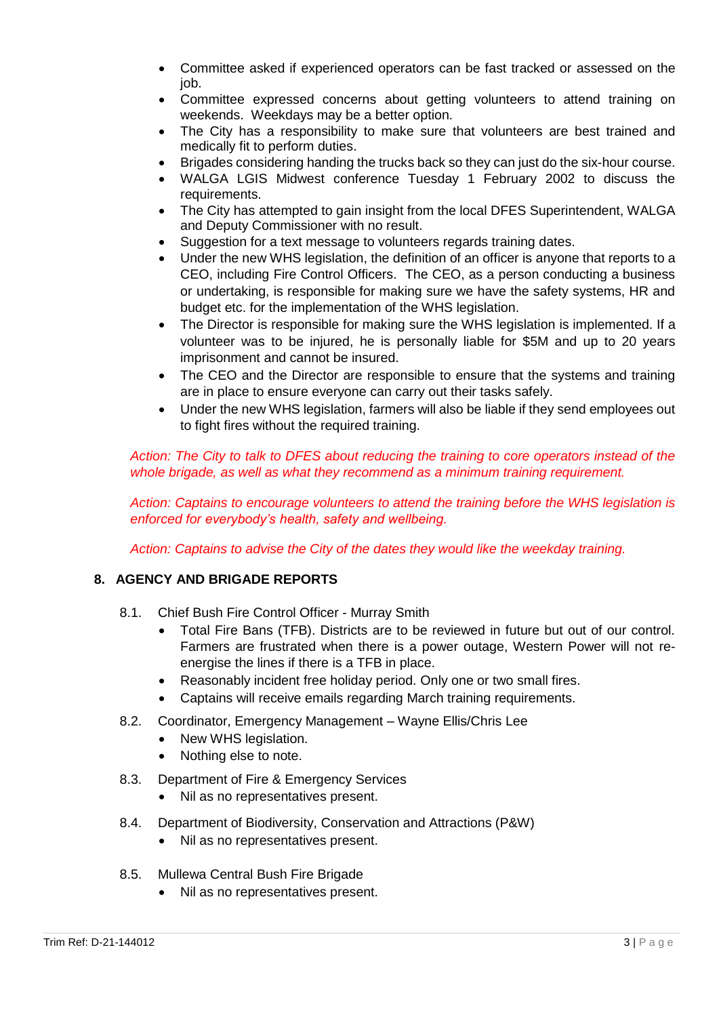- Committee asked if experienced operators can be fast tracked or assessed on the job.
- Committee expressed concerns about getting volunteers to attend training on weekends. Weekdays may be a better option.
- The City has a responsibility to make sure that volunteers are best trained and medically fit to perform duties.
- Brigades considering handing the trucks back so they can just do the six-hour course.
- WALGA LGIS Midwest conference Tuesday 1 February 2002 to discuss the requirements.
- The City has attempted to gain insight from the local DFES Superintendent, WALGA and Deputy Commissioner with no result.
- Suggestion for a text message to volunteers regards training dates.
- Under the new WHS legislation, the definition of an officer is anyone that reports to a CEO, including Fire Control Officers. The CEO, as a person conducting a business or undertaking, is responsible for making sure we have the safety systems, HR and budget etc. for the implementation of the WHS legislation.
- The Director is responsible for making sure the WHS legislation is implemented. If a volunteer was to be injured, he is personally liable for \$5M and up to 20 years imprisonment and cannot be insured.
- The CEO and the Director are responsible to ensure that the systems and training are in place to ensure everyone can carry out their tasks safely.
- Under the new WHS legislation, farmers will also be liable if they send employees out to fight fires without the required training.

*Action: The City to talk to DFES about reducing the training to core operators instead of the whole brigade, as well as what they recommend as a minimum training requirement.* 

*Action: Captains to encourage volunteers to attend the training before the WHS legislation is enforced for everybody's health, safety and wellbeing.*

*Action: Captains to advise the City of the dates they would like the weekday training.*

# **8. AGENCY AND BRIGADE REPORTS**

- 8.1. Chief Bush Fire Control Officer Murray Smith
	- Total Fire Bans (TFB). Districts are to be reviewed in future but out of our control. Farmers are frustrated when there is a power outage, Western Power will not reenergise the lines if there is a TFB in place.
	- Reasonably incident free holiday period. Only one or two small fires.
	- Captains will receive emails regarding March training requirements.
- 8.2. Coordinator, Emergency Management Wayne Ellis/Chris Lee
	- New WHS legislation.
	- Nothing else to note.
- 8.3. Department of Fire & Emergency Services
	- Nil as no representatives present.
- 8.4. Department of Biodiversity, Conservation and Attractions (P&W)
	- Nil as no representatives present.
- 8.5. Mullewa Central Bush Fire Brigade
	- Nil as no representatives present.